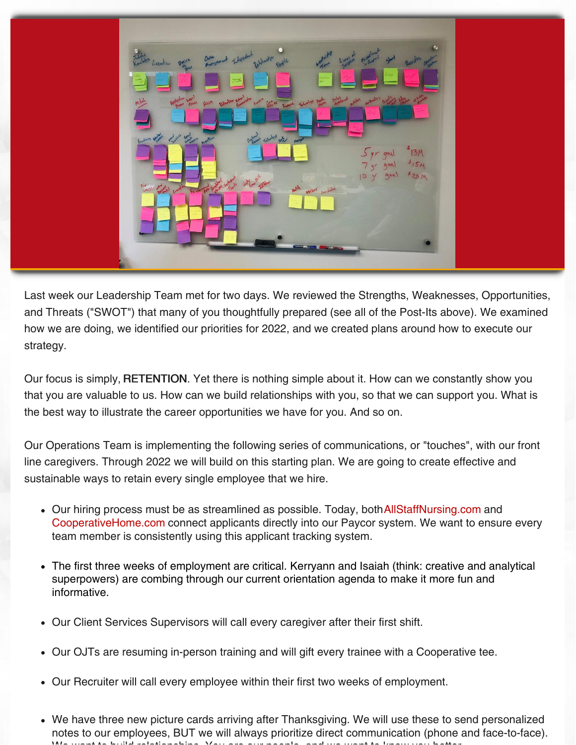

Last week our Leadership Team met for two days. We reviewed the Strengths, Weaknesses, Opportunities, and Threats ("SWOT") that many of you thoughtfully prepared (see all of the Post-Its above). We examined how we are doing, we identified our priorities for 2022, and we created plans around how to execute our strategy.

Our focus is simply, RETENTION. Yet there is nothing simple about it. How can we constantly show you that you are valuable to us. How can we build relationships with you, so that we can support you. What is the best way to illustrate the career opportunities we have for you. And so on.

Our Operations Team is implementing the following series of communications, or "touches", with our front line caregivers. Through 2022 we will build on this starting plan. We are going to create effective and sustainable ways to retain every single employee that we hire.

- Our hiring process must be as streamlined as possible. Today, both [AllStaffNursing.com](https://allstaffnursing.com/) and [CooperativeHome.com](https://cooperativehomecare.com/) connect applicants directly into our Paycor system. We want to ensure every team member is consistently using this applicant tracking system.
- The first three weeks of employment are critical. Kerryann and Isaiah (think: creative and analytical superpowers) are combing through our current orientation agenda to make it more fun and informative.
- Our Client Services Supervisors will call every caregiver after their first shift.
- Our OJTs are resuming in-person training and will gift every trainee with a Cooperative tee.
- Our Recruiter will call every employee within their first two weeks of employment.
- We have three new picture cards arriving after Thanksgiving. We will use these to send personalized notes to our employees, BUT we will always prioritize direct communication (phone and face-to-face). We want to build relationships. You are our people, and we want to know you better.